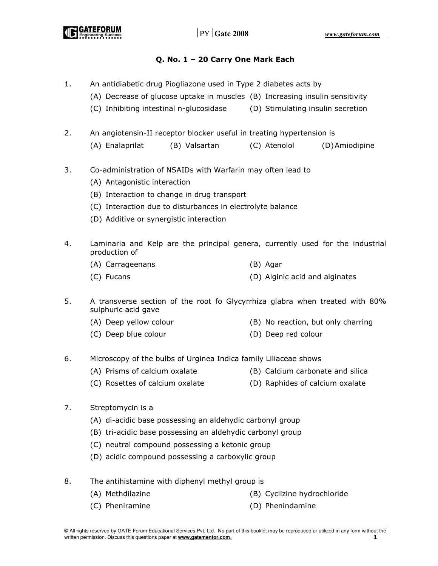### Q. No. 1 – 20 Carry One Mark Each

- 1. An antidiabetic drug Piogliazone used in Type 2 diabetes acts by
	- (A) Decrease of glucose uptake in muscles (B) Increasing insulin sensitivity
	- (C) Inhibiting intestinal n-glucosidase (D) Stimulating insulin secretion
- 2. An angiotensin-II receptor blocker useful in treating hypertension is
	- (A) Enalaprilat (B) Valsartan (C) Atenolol (D) Amiodipine
- 3. Co-administration of NSAIDs with Warfarin may often lead to
	- (A) Antagonistic interaction
	- (B) Interaction to change in drug transport
	- (C) Interaction due to disturbances in electrolyte balance
	- (D) Additive or synergistic interaction
- 4. Laminaria and Kelp are the principal genera, currently used for the industrial production of
	- (A) Carrageenans (B) Agar
	- (C) Fucans (D) Alginic acid and alginates
- 5. A transverse section of the root fo Glycyrrhiza glabra when treated with 80% sulphuric acid gave
	- (A) Deep yellow colour (B) No reaction, but only charring
	- (C) Deep blue colour (D) Deep red colour
- 6. Microscopy of the bulbs of Urginea Indica family Liliaceae shows
	- (A) Prisms of calcium oxalate (B) Calcium carbonate and silica
	- (C) Rosettes of calcium oxalate (D) Raphides of calcium oxalate
- 7. Streptomycin is a
	- (A) di-acidic base possessing an aldehydic carbonyl group
	- (B) tri-acidic base possessing an aldehydic carbonyl group
	- (C) neutral compound possessing a ketonic group
	- (D) acidic compound possessing a carboxylic group
- 8. The antihistamine with diphenyl methyl group is
	-
	- (A) Methdilazine (B) Cyclizine hydrochloride
	- (C) Pheniramine (D) Phenindamine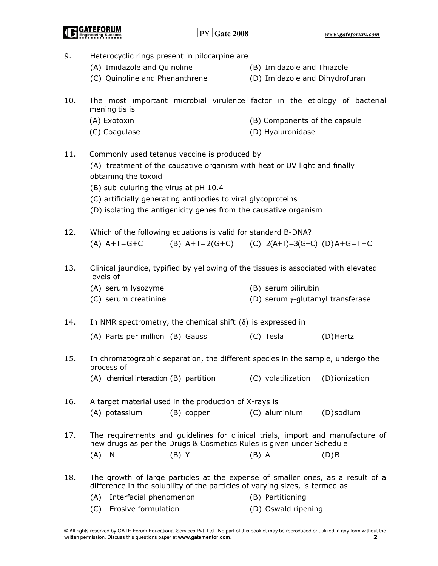| 9.  | Heterocyclic rings present in pilocarpine are                                                                                                                                                                                                               |                               |                                          |  |  |  |  |  |
|-----|-------------------------------------------------------------------------------------------------------------------------------------------------------------------------------------------------------------------------------------------------------------|-------------------------------|------------------------------------------|--|--|--|--|--|
|     | (A) Imidazole and Quinoline                                                                                                                                                                                                                                 | (B) Imidazole and Thiazole    |                                          |  |  |  |  |  |
|     | (C) Quinoline and Phenanthrene                                                                                                                                                                                                                              |                               | (D) Imidazole and Dihydrofuran           |  |  |  |  |  |
| 10. | The most important microbial virulence factor in the etiology of bacterial<br>meningitis is                                                                                                                                                                 |                               |                                          |  |  |  |  |  |
|     | (A) Exotoxin                                                                                                                                                                                                                                                | (B) Components of the capsule |                                          |  |  |  |  |  |
|     | (C) Coagulase                                                                                                                                                                                                                                               | (D) Hyaluronidase             |                                          |  |  |  |  |  |
| 11. | Commonly used tetanus vaccine is produced by<br>(A) treatment of the causative organism with heat or UV light and finally<br>obtaining the toxoid<br>(B) sub-culuring the virus at pH 10.4<br>(C) artificially generating antibodies to viral glycoproteins |                               |                                          |  |  |  |  |  |
|     | (D) isolating the antigenicity genes from the causative organism                                                                                                                                                                                            |                               |                                          |  |  |  |  |  |
| 12. | Which of the following equations is valid for standard B-DNA?<br>$(A)$ A+T=G+C<br>$(B)$ A+T=2(G+C)                                                                                                                                                          |                               | (C) $2(A+T)=3(G+C)$ (D) $A+G=T+C$        |  |  |  |  |  |
| 13. | Clinical jaundice, typified by yellowing of the tissues is associated with elevated<br>levels of                                                                                                                                                            |                               |                                          |  |  |  |  |  |
|     | (A) serum lysozyme                                                                                                                                                                                                                                          | (B) serum bilirubin           |                                          |  |  |  |  |  |
|     | (C) serum creatinine                                                                                                                                                                                                                                        |                               | (D) serum $\gamma$ -glutamyl transferase |  |  |  |  |  |
| 14. | In NMR spectrometry, the chemical shift $(\delta)$ is expressed in                                                                                                                                                                                          |                               |                                          |  |  |  |  |  |
|     | (A) Parts per million (B) Gauss                                                                                                                                                                                                                             | (C) Tesla                     | (D) Hertz                                |  |  |  |  |  |
| 15. | In chromatographic separation, the different species in the sample, undergo the<br>process of                                                                                                                                                               |                               |                                          |  |  |  |  |  |
|     | (A) chemical interaction (B) partition                                                                                                                                                                                                                      | (C) volatilization            | (D) ionization                           |  |  |  |  |  |
| 16. | A target material used in the production of X-rays is                                                                                                                                                                                                       |                               |                                          |  |  |  |  |  |
|     | (A) potassium<br>(B) copper                                                                                                                                                                                                                                 | (C) aluminium                 | (D) sodium                               |  |  |  |  |  |
| 17. | The requirements and guidelines for clinical trials, import and manufacture of<br>new drugs as per the Drugs & Cosmetics Rules is given under Schedule                                                                                                      |                               |                                          |  |  |  |  |  |
|     | (A)<br>N<br>$(B)$ Y                                                                                                                                                                                                                                         | $(B)$ A                       | $(D)$ B                                  |  |  |  |  |  |
| 18. | The growth of large particles at the expense of smaller ones, as a result of a<br>difference in the solubility of the particles of varying sizes, is termed as                                                                                              |                               |                                          |  |  |  |  |  |
|     | Interfacial phenomenon<br>(A)                                                                                                                                                                                                                               | (B) Partitioning              |                                          |  |  |  |  |  |
|     | Erosive formulation<br>(D) Oswald ripening<br>(C)                                                                                                                                                                                                           |                               |                                          |  |  |  |  |  |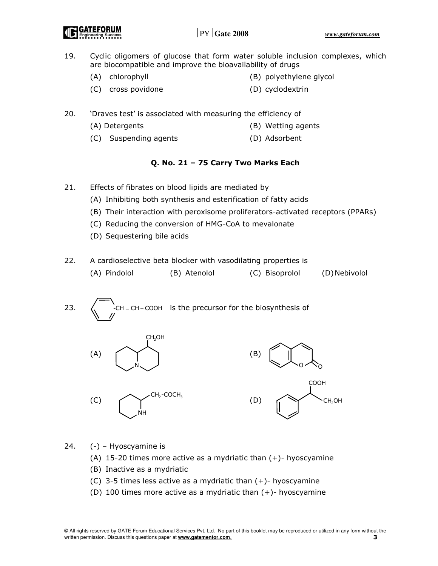- 19. Cyclic oligomers of glucose that form water soluble inclusion complexes, which are biocompatible and improve the bioavailability of drugs
	- (A) chlorophyll (B) polyethylene glycol
	- (C) cross povidone (D) cyclodextrin
- 20. 'Draves test' is associated with measuring the efficiency of
	- (A) Detergents (B) Wetting agents
	- (C) Suspending agents (D) Adsorbent

### Q. No. 21 – 75 Carry Two Marks Each

- 21. Effects of fibrates on blood lipids are mediated by
	- (A) Inhibiting both synthesis and esterification of fatty acids
	- (B) Their interaction with peroxisome proliferators-activated receptors (PPARs)
	- (C) Reducing the conversion of HMG-CoA to mevalonate
	- (D) Sequestering bile acids
- 22. A cardioselective beta blocker with vasodilating properties is (A) Pindolol (B) Atenolol (C) Bisoprolol (D) Nebivolol
- 23.  $\langle$  -CH = CH COOH is the precursor for the biosynthesis of



 $(C)$   $\qquad \qquad$   $\qquad \qquad$   $\qquad \qquad$   $\qquad$   $\qquad$   $\qquad$   $\qquad$   $\qquad$   $\qquad$   $\qquad$   $\qquad$   $\qquad$   $\qquad$   $\qquad$   $\qquad$   $\qquad$   $\qquad$   $\qquad$   $\qquad$   $\qquad$   $\qquad$   $\qquad$   $\qquad$   $\qquad$   $\qquad$   $\qquad$   $\qquad$   $\qquad$   $\qquad$   $\qquad$   $\qquad$   $\qquad$   $\qquad$   $\qquad$   $\q$ NH CH<sub>2</sub>-COCH<sub>2</sub>





24. (-) – Hyoscyamine is

- (A) 15-20 times more active as a mydriatic than  $(+)$  hyoscyamine
- (B) Inactive as a mydriatic
- (C) 3-5 times less active as a mydriatic than (+)- hyoscyamine
- (D) 100 times more active as a mydriatic than  $(+)$  hyoscyamine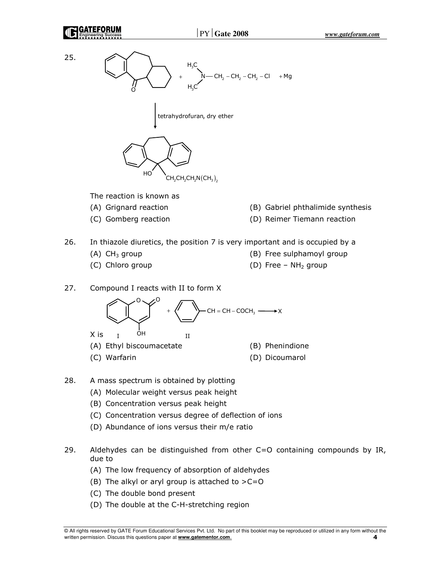



The reaction is known as

- 
- 
- (A) Grignard reaction (B) Gabriel phthalimide synthesis
- (C) Gomberg reaction (D) Reimer Tiemann reaction
- 26. In thiazole diuretics, the position 7 is very important and is occupied by a
	-
	-
	- (A)  $CH_3$  group (B) Free sulphamoyl group
		-
	- (C) Chloro group  $(D)$  Free NH<sub>2</sub> group
- 27. Compound I reacts with II to form X



- (A) Ethyl biscoumacetate (B) Phenindione
- (C) Warfarin (D) Dicoumarol
- 
- 28. A mass spectrum is obtained by plotting
	- (A) Molecular weight versus peak height
	- (B) Concentration versus peak height
	- (C) Concentration versus degree of deflection of ions
	- (D) Abundance of ions versus their m/e ratio
- 29. Aldehydes can be distinguished from other C=O containing compounds by IR, due to
	- (A) The low frequency of absorption of aldehydes
	- (B) The alkyl or aryl group is attached to  $>C=O$
	- (C) The double bond present
	- (D) The double at the C-H-stretching region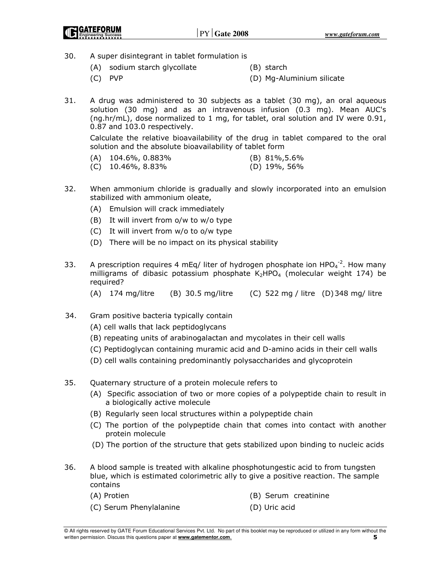- 30. A super disintegrant in tablet formulation is
	- (A) sodium starch glycollate (B) starch
	- (C) PVP (D) Mg-Aluminium silicate
- 

- 
- 31. A drug was administered to 30 subjects as a tablet (30 mg), an oral aqueous solution (30 mg) and as an intravenous infusion (0.3 mg). Mean AUC's (ng.hr/mL), dose normalized to 1 mg, for tablet, oral solution and IV were 0.91, 0.87 and 103.0 respectively.

 Calculate the relative bioavailability of the drug in tablet compared to the oral solution and the absolute bioavailability of tablet form

| $(A)$ 104.6%, 0.883% | $(B)$ 81%, 5.6%            |
|----------------------|----------------------------|
|                      | $\sqrt{N}$ 100/ $\sqrt{N}$ |

- (C) 10.46%, 8.83% (D) 19%, 56%
- 32. When ammonium chloride is gradually and slowly incorporated into an emulsion stabilized with ammonium oleate,
	- (A) Emulsion will crack immediately
	- (B) It will invert from o/w to w/o type
	- (C) It will invert from w/o to o/w type
	- (D) There will be no impact on its physical stability
- 33. A prescription requires 4 mEq/ liter of hydrogen phosphate ion  $HPO<sub>4</sub><sup>-2</sup>$ . How many milligrams of dibasic potassium phosphate  $K_2HPO_4$  (molecular weight 174) be required?
	- (A) 174 mg/litre (B) 30.5 mg/litre (C) 522 mg / litre (D) 348 mg/ litre
- 34. Gram positive bacteria typically contain
	- (A) cell walls that lack peptidoglycans
	- (B) repeating units of arabinogalactan and mycolates in their cell walls
	- (C) Peptidoglycan containing muramic acid and D-amino acids in their cell walls
	- (D) cell walls containing predominantly polysaccharides and glycoprotein
- 35. Quaternary structure of a protein molecule refers to
	- (A) Specific association of two or more copies of a polypeptide chain to result in a biologically active molecule
	- (B) Regularly seen local structures within a polypeptide chain
	- (C) The portion of the polypeptide chain that comes into contact with another protein molecule
	- (D) The portion of the structure that gets stabilized upon binding to nucleic acids
- 36. A blood sample is treated with alkaline phosphotungestic acid to from tungsten blue, which is estimated colorimetric ally to give a positive reaction. The sample contains
	- (A) Protien (B) Serum creatinine
	- (C) Serum Phenylalanine (D) Uric acid
-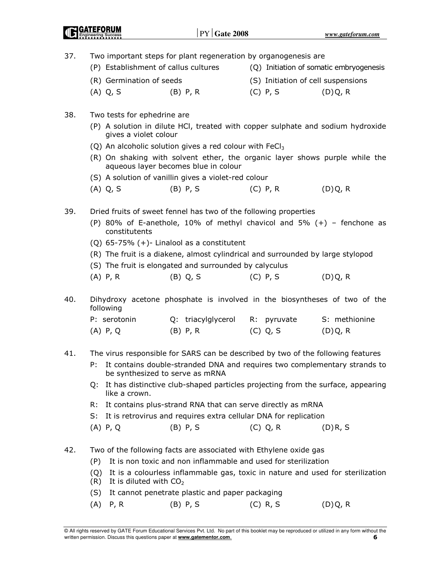| 37. |                                        | Two important steps for plant regeneration by organogenesis are                                                                              |                                    |                                         |
|-----|----------------------------------------|----------------------------------------------------------------------------------------------------------------------------------------------|------------------------------------|-----------------------------------------|
|     | (P) Establishment of callus cultures   |                                                                                                                                              |                                    | (Q) Initiation of somatic embryogenesis |
|     | (R) Germination of seeds               |                                                                                                                                              | (S) Initiation of cell suspensions |                                         |
|     | $(A)$ Q, S                             | $(B)$ P, R                                                                                                                                   | $(C)$ P, S                         | (D)Q, R                                 |
| 38. | Two tests for ephedrine are            |                                                                                                                                              |                                    |                                         |
|     |                                        | (P) A solution in dilute HCl, treated with copper sulphate and sodium hydroxide                                                              |                                    |                                         |
|     | gives a violet colour                  |                                                                                                                                              |                                    |                                         |
|     |                                        | (Q) An alcoholic solution gives a red colour with FeCl <sub>3</sub>                                                                          |                                    |                                         |
|     |                                        | (R) On shaking with solvent ether, the organic layer shows purple while the<br>aqueous layer becomes blue in colour                          |                                    |                                         |
|     |                                        | (S) A solution of vanillin gives a violet-red colour                                                                                         |                                    |                                         |
|     | $(A)$ Q, S                             | $(B)$ P, S                                                                                                                                   | $(C)$ P, R                         | (D)Q, R                                 |
|     |                                        |                                                                                                                                              |                                    |                                         |
| 39. |                                        | Dried fruits of sweet fennel has two of the following properties<br>(P) 80% of E-anethole, 10% of methyl chavicol and 5% $(+)$ – fenchone as |                                    |                                         |
|     | constitutents                          |                                                                                                                                              |                                    |                                         |
|     |                                        | $(Q)$ 65-75% $(+)$ - Linalool as a constitutent                                                                                              |                                    |                                         |
|     |                                        | (R) The fruit is a diakene, almost cylindrical and surrounded by large stylopod                                                              |                                    |                                         |
|     |                                        | (S) The fruit is elongated and surrounded by calyculus                                                                                       |                                    |                                         |
|     | $(A)$ P, R                             | $(B)$ Q, S                                                                                                                                   | $(C)$ P, S                         | (D)Q, R                                 |
| 40. | following                              | Dihydroxy acetone phosphate is involved in the biosyntheses of two of the                                                                    |                                    |                                         |
|     | P: serotonin                           | Q: triacylglycerol                                                                                                                           | pyruvate<br>R:                     | S: methionine                           |
|     | $(A)$ P, Q                             | $(B)$ P, R                                                                                                                                   | (C) Q, S                           | (D)Q, R                                 |
| 41. |                                        | The virus responsible for SARS can be described by two of the following features                                                             |                                    |                                         |
|     | Р:                                     | It contains double-stranded DNA and requires two complementary strands to                                                                    |                                    |                                         |
|     |                                        | be synthesized to serve as mRNA                                                                                                              |                                    |                                         |
|     | o:<br>like a crown.                    | It has distinctive club-shaped particles projecting from the surface, appearing                                                              |                                    |                                         |
|     | R:                                     | It contains plus-strand RNA that can serve directly as mRNA                                                                                  |                                    |                                         |
|     | $S$ :                                  | It is retrovirus and requires extra cellular DNA for replication                                                                             |                                    |                                         |
|     | $(A)$ P, Q                             | $(B)$ P, S                                                                                                                                   | $(C)$ Q, R                         | $(D)$ R, S                              |
|     |                                        |                                                                                                                                              |                                    |                                         |
| 42. |                                        | Two of the following facts are associated with Ethylene oxide gas<br>It is non toxic and non inflammable and used for sterilization          |                                    |                                         |
|     | (P)                                    |                                                                                                                                              |                                    |                                         |
|     | (Q)<br>(R)<br>It is diluted with $CO2$ | It is a colourless inflammable gas, toxic in nature and used for sterilization                                                               |                                    |                                         |
|     | (S)                                    | It cannot penetrate plastic and paper packaging                                                                                              |                                    |                                         |
|     | (A)<br>P, R                            | $(B)$ P, S                                                                                                                                   | $(C)$ R, S                         | (D)Q, R                                 |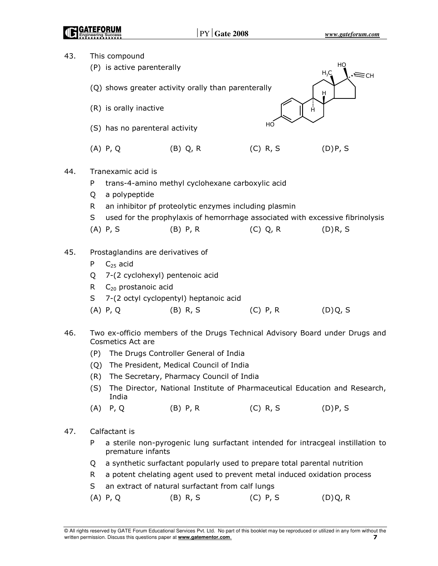| 43. |     | This compound                                                                                        |                                                                               |            |                      |  |  |  |  |
|-----|-----|------------------------------------------------------------------------------------------------------|-------------------------------------------------------------------------------|------------|----------------------|--|--|--|--|
|     |     | (P) is active parenterally                                                                           |                                                                               |            | HO<br>$H_3C$<br>∕≡сн |  |  |  |  |
|     |     |                                                                                                      | (Q) shows greater activity orally than parenterally                           |            | H                    |  |  |  |  |
|     |     | (R) is orally inactive                                                                               |                                                                               | Ĥ          |                      |  |  |  |  |
|     |     | (S) has no parenteral activity                                                                       |                                                                               | HO         |                      |  |  |  |  |
|     |     | $(A)$ P, Q                                                                                           | $(B)$ Q, R                                                                    | $(C)$ R, S | (D)P, S              |  |  |  |  |
| 44. |     | Tranexamic acid is                                                                                   |                                                                               |            |                      |  |  |  |  |
|     | P   |                                                                                                      | trans-4-amino methyl cyclohexane carboxylic acid                              |            |                      |  |  |  |  |
|     | Q   | a polypeptide                                                                                        |                                                                               |            |                      |  |  |  |  |
|     | R.  |                                                                                                      | an inhibitor pf proteolytic enzymes including plasmin                         |            |                      |  |  |  |  |
|     | S   |                                                                                                      | used for the prophylaxis of hemorrhage associated with excessive fibrinolysis |            |                      |  |  |  |  |
|     |     | $(A)$ P, S                                                                                           | $(B)$ P, R                                                                    | (C) Q, R   | (D)R, S              |  |  |  |  |
| 45. |     | Prostaglandins are derivatives of                                                                    |                                                                               |            |                      |  |  |  |  |
|     | P   | $C_{25}$ acid                                                                                        |                                                                               |            |                      |  |  |  |  |
|     | Q   | 7-(2 cyclohexyl) pentenoic acid                                                                      |                                                                               |            |                      |  |  |  |  |
|     | R.  | $C_{20}$ prostanoic acid                                                                             |                                                                               |            |                      |  |  |  |  |
|     | S   |                                                                                                      | 7-(2 octyl cyclopentyl) heptanoic acid                                        |            |                      |  |  |  |  |
|     |     | $(A)$ P, Q                                                                                           | $(B)$ R, S                                                                    | $(C)$ P, R | (D)Q, S              |  |  |  |  |
| 46. |     | Cosmetics Act are                                                                                    | Two ex-officio members of the Drugs Technical Advisory Board under Drugs and  |            |                      |  |  |  |  |
|     | (P) |                                                                                                      | The Drugs Controller General of India                                         |            |                      |  |  |  |  |
|     | (Q) |                                                                                                      | The President, Medical Council of India                                       |            |                      |  |  |  |  |
|     | (R) | The Secretary, Pharmacy Council of India                                                             |                                                                               |            |                      |  |  |  |  |
|     | (S) | India                                                                                                | The Director, National Institute of Pharmaceutical Education and Research,    |            |                      |  |  |  |  |
|     | (A) | P, Q                                                                                                 | $(B)$ P, R                                                                    | $(C)$ R, S | (D)P, S              |  |  |  |  |
| 47. |     | Calfactant is                                                                                        |                                                                               |            |                      |  |  |  |  |
|     | P   | a sterile non-pyrogenic lung surfactant intended for intracgeal instillation to<br>premature infants |                                                                               |            |                      |  |  |  |  |
|     | Q   | a synthetic surfactant popularly used to prepare total parental nutrition                            |                                                                               |            |                      |  |  |  |  |
|     | R.  |                                                                                                      | a potent chelating agent used to prevent metal induced oxidation process      |            |                      |  |  |  |  |
|     | S   |                                                                                                      | an extract of natural surfactant from calf lungs                              |            |                      |  |  |  |  |
|     |     | $(A)$ P, Q                                                                                           | $(B)$ R, S                                                                    | $(C)$ P, S | (D)Q, R              |  |  |  |  |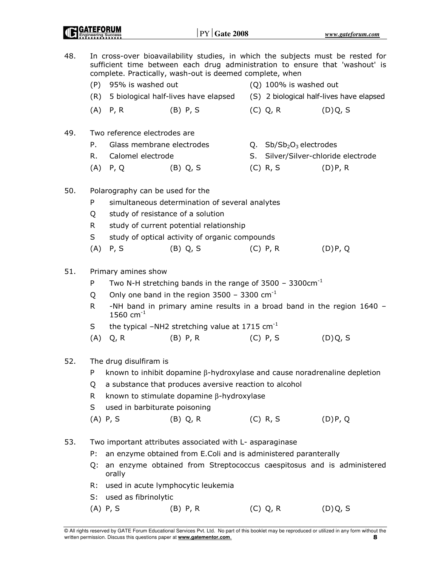| 48. |                        |                                                                                          | complete. Practically, wash-out is deemed complete, when        |                            | In cross-over bioavailability studies, in which the subjects must be rested for<br>sufficient time between each drug administration to ensure that 'washout' is |  |  |  |  |
|-----|------------------------|------------------------------------------------------------------------------------------|-----------------------------------------------------------------|----------------------------|-----------------------------------------------------------------------------------------------------------------------------------------------------------------|--|--|--|--|
|     |                        | (P) 95% is washed out                                                                    |                                                                 | $(Q)$ 100% is washed out   |                                                                                                                                                                 |  |  |  |  |
|     | (R)                    |                                                                                          |                                                                 |                            | 5 biological half-lives have elapsed (S) 2 biological half-lives have elapsed                                                                                   |  |  |  |  |
|     |                        | $(A)$ P, R                                                                               | $(B)$ P, S                                                      | (C) Q, R                   | (D)Q, S                                                                                                                                                         |  |  |  |  |
| 49. |                        |                                                                                          | Two reference electrodes are                                    |                            |                                                                                                                                                                 |  |  |  |  |
|     | P.                     |                                                                                          | Glass membrane electrodes                                       | Q. $Sb/Sb_2O_3$ electrodes |                                                                                                                                                                 |  |  |  |  |
|     | R.                     | Calomel electrode                                                                        |                                                                 |                            | S. Silver/Silver-chloride electrode                                                                                                                             |  |  |  |  |
|     |                        | $(A)$ P, Q                                                                               | $(B)$ Q, S                                                      | $(C)$ R, S                 | (D)P, R                                                                                                                                                         |  |  |  |  |
| 50. |                        |                                                                                          | Polarography can be used for the                                |                            |                                                                                                                                                                 |  |  |  |  |
|     | P                      |                                                                                          | simultaneous determination of several analytes                  |                            |                                                                                                                                                                 |  |  |  |  |
|     | Q                      |                                                                                          | study of resistance of a solution                               |                            |                                                                                                                                                                 |  |  |  |  |
|     | R.                     |                                                                                          | study of current potential relationship                         |                            |                                                                                                                                                                 |  |  |  |  |
|     | S                      |                                                                                          | study of optical activity of organic compounds                  |                            |                                                                                                                                                                 |  |  |  |  |
|     | (A)                    | P, S                                                                                     | $(B)$ Q, S                                                      | $(C)$ P, R                 | (D)P, Q                                                                                                                                                         |  |  |  |  |
| 51. |                        | Primary amines show                                                                      |                                                                 |                            |                                                                                                                                                                 |  |  |  |  |
|     | P                      | Two N-H stretching bands in the range of $3500 - 3300$ cm <sup>-1</sup>                  |                                                                 |                            |                                                                                                                                                                 |  |  |  |  |
|     | Q                      | Only one band in the region $3500 - 3300$ cm <sup>-1</sup>                               |                                                                 |                            |                                                                                                                                                                 |  |  |  |  |
|     | R.                     | -NH band in primary amine results in a broad band in the region 1640 -<br>1560 $cm^{-1}$ |                                                                 |                            |                                                                                                                                                                 |  |  |  |  |
|     | S                      |                                                                                          | the typical $-NH2$ stretching value at 1715 cm <sup>-1</sup>    |                            |                                                                                                                                                                 |  |  |  |  |
|     | (A)                    | Q, R                                                                                     | $(B)$ P, R                                                      | $(C)$ P, S                 | (D)Q, S                                                                                                                                                         |  |  |  |  |
| 52. | The drug disulfiram is |                                                                                          |                                                                 |                            |                                                                                                                                                                 |  |  |  |  |
|     | P                      | known to inhibit dopamine $\beta$ -hydroxylase and cause noradrenaline depletion         |                                                                 |                            |                                                                                                                                                                 |  |  |  |  |
|     | Q                      | a substance that produces aversive reaction to alcohol                                   |                                                                 |                            |                                                                                                                                                                 |  |  |  |  |
|     | R.                     | known to stimulate dopamine β-hydroxylase                                                |                                                                 |                            |                                                                                                                                                                 |  |  |  |  |
|     | S                      |                                                                                          | used in barbiturate poisoning                                   |                            |                                                                                                                                                                 |  |  |  |  |
|     |                        | $(A)$ P, S                                                                               | $(B)$ Q, R                                                      | $(C)$ R, S                 | (D)P, Q                                                                                                                                                         |  |  |  |  |
| 53. |                        |                                                                                          | Two important attributes associated with L- asparaginase        |                            |                                                                                                                                                                 |  |  |  |  |
|     | P:                     |                                                                                          | an enzyme obtained from E.Coli and is administered paranterally |                            |                                                                                                                                                                 |  |  |  |  |
|     | Q:                     | orally                                                                                   |                                                                 |                            | an enzyme obtained from Streptococcus caespitosus and is administered                                                                                           |  |  |  |  |
|     | R:                     |                                                                                          | used in acute lymphocytic leukemia                              |                            |                                                                                                                                                                 |  |  |  |  |
|     | S:                     | used as fibrinolytic                                                                     |                                                                 |                            |                                                                                                                                                                 |  |  |  |  |
|     |                        | $(A)$ P, S                                                                               | $(B)$ P, R                                                      | (C) Q, R                   | (D)Q, S                                                                                                                                                         |  |  |  |  |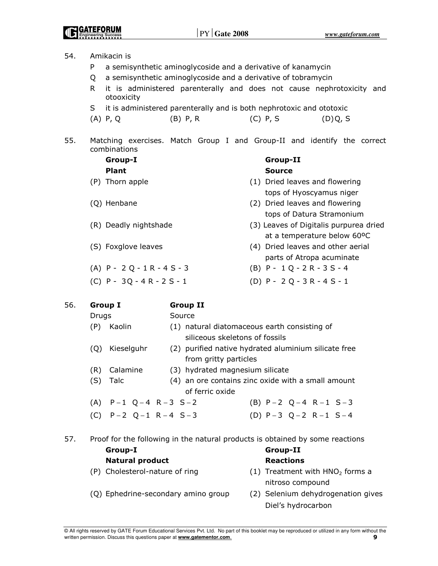| 54. | Amikacin is                    |                                 |                                                                               |  |  |  |  |
|-----|--------------------------------|---------------------------------|-------------------------------------------------------------------------------|--|--|--|--|
|     | P                              |                                 | a semisynthetic aminoglycoside and a derivative of kanamycin                  |  |  |  |  |
|     | Q                              |                                 | a semisynthetic aminoglycoside and a derivative of tobramycin                 |  |  |  |  |
|     | R.<br>otooxicity               |                                 | it is administered parenterally and does not cause nephrotoxicity and         |  |  |  |  |
|     | S                              |                                 | it is administered parenterally and is both nephrotoxic and ototoxic          |  |  |  |  |
|     | $(A)$ P, Q                     | $(B)$ P, R                      | $(C)$ P, S<br>(D)Q, S                                                         |  |  |  |  |
| 55. | combinations                   |                                 | Matching exercises. Match Group I and Group-II and identify the correct       |  |  |  |  |
|     | Group-I                        |                                 | <b>Group-II</b>                                                               |  |  |  |  |
|     | <b>Plant</b>                   |                                 | <b>Source</b>                                                                 |  |  |  |  |
|     | (P) Thorn apple                |                                 | (1) Dried leaves and flowering<br>tops of Hyoscyamus niger                    |  |  |  |  |
|     | (Q) Henbane                    |                                 | (2) Dried leaves and flowering                                                |  |  |  |  |
|     |                                |                                 | tops of Datura Stramonium                                                     |  |  |  |  |
|     | (R) Deadly nightshade          |                                 | (3) Leaves of Digitalis purpurea dried                                        |  |  |  |  |
|     |                                |                                 | at a temperature below 60°C                                                   |  |  |  |  |
|     | (S) Foxglove leaves            |                                 | (4) Dried leaves and other aerial                                             |  |  |  |  |
|     |                                |                                 | parts of Atropa acuminate                                                     |  |  |  |  |
|     | (A) $P - 2Q - 1R - 4S - 3$     |                                 | $(B)$ P - 1 Q - 2 R - 3 S - 4                                                 |  |  |  |  |
|     | (C) $P - 3Q - 4R - 2S - 1$     |                                 | (D) $P - 2Q - 3R - 4S - 1$                                                    |  |  |  |  |
| 56. | <b>Group I</b>                 | <b>Group II</b>                 |                                                                               |  |  |  |  |
|     | Drugs                          | Source                          |                                                                               |  |  |  |  |
|     | (P) Kaolin                     | siliceous skeletons of fossils  | (1) natural diatomaceous earth consisting of                                  |  |  |  |  |
|     | (Q)<br>Kieselguhr              |                                 | (2) purified native hydrated aluminium silicate free                          |  |  |  |  |
|     |                                | from gritty particles           |                                                                               |  |  |  |  |
|     | (R) Calamine                   | (3) hydrated magnesium silicate |                                                                               |  |  |  |  |
|     | (S) Talc                       | of ferric oxide                 | (4) an ore contains zinc oxide with a small amount                            |  |  |  |  |
|     | (A) $P-1$ $Q-4$ $R-3$ $S-2$    |                                 | (B) $P-2$ $Q-4$ $R-1$ $S-3$                                                   |  |  |  |  |
|     | (C) $P-2$ $Q-1$ $R-4$ $S-3$    |                                 | (D) $P-3$ $Q-2$ $R-1$ $S-4$                                                   |  |  |  |  |
|     |                                |                                 |                                                                               |  |  |  |  |
| 57. |                                |                                 | Proof for the following in the natural products is obtained by some reactions |  |  |  |  |
|     | Group-I                        |                                 | <b>Group-II</b>                                                               |  |  |  |  |
|     | <b>Natural product</b>         |                                 | <b>Reactions</b>                                                              |  |  |  |  |
|     | (P) Cholesterol-nature of ring |                                 | (1) Treatment with HNO <sub>2</sub> forms a                                   |  |  |  |  |
|     |                                |                                 | nitroso compound                                                              |  |  |  |  |

- (Q) Ephedrine-secondary amino group (2) Selenium dehydrogenation gives
	- Diel's hydrocarbon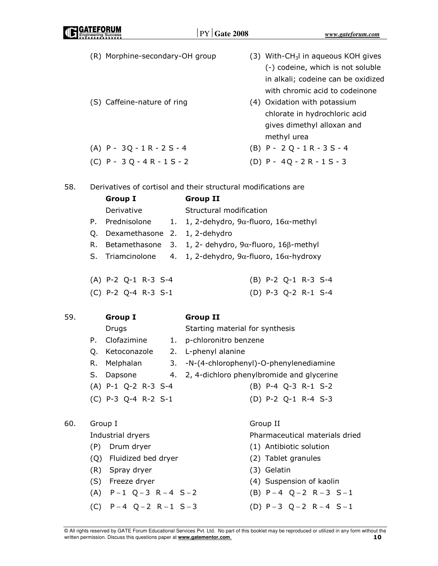| GATEFORUM<br><b>ID GATEFUKUM</b> |
|----------------------------------|
|                                  |

|     | (R) Morphine-secondary-OH group                                |                                 | (3) With-CH <sub>3</sub> I in aqueous KOH gives<br>(-) codeine, which is not soluble<br>in alkali; codeine can be oxidized<br>with chromic acid to codeinone |
|-----|----------------------------------------------------------------|---------------------------------|--------------------------------------------------------------------------------------------------------------------------------------------------------------|
|     | (S) Caffeine-nature of ring                                    |                                 | (4) Oxidation with potassium<br>chlorate in hydrochloric acid<br>gives dimethyl alloxan and<br>methyl urea                                                   |
|     | $(A)$ P - 3Q - 1R - 2S - 4                                     |                                 | $(B)$ P - 2 Q - 1 R - 3 S - 4                                                                                                                                |
|     | $(C)$ P - 3 Q - 4 R - 1 S - 2                                  |                                 | (D) $P - 4Q - 2R - 1S - 3$                                                                                                                                   |
| 58. | Derivatives of cortisol and their structural modifications are |                                 |                                                                                                                                                              |
|     | <b>Group I</b>                                                 | <b>Group II</b>                 |                                                                                                                                                              |
|     | Derivative                                                     | Structural modification         |                                                                                                                                                              |
|     | Prednisolone<br>Р.                                             |                                 | 1. 1, 2-dehydro, 9 $\alpha$ -fluoro, 16 $\alpha$ -methyl                                                                                                     |
|     | Dexamethasone 2. 1, 2-dehydro<br>Q.                            |                                 |                                                                                                                                                              |
|     | R.<br>Betamethasone<br>3.                                      |                                 | 1, 2- dehydro, 9α-fluoro, 16β-methyl                                                                                                                         |
|     | S. Triamcinolone<br>4.                                         |                                 | 1, 2-dehydro, 9 $\alpha$ -fluoro, 16 $\alpha$ -hydroxy                                                                                                       |
|     | (A) P-2 Q-1 R-3 S-4                                            |                                 | (B) P-2 Q-1 R-3 S-4                                                                                                                                          |
|     | (C) P-2 Q-4 R-3 S-1                                            |                                 | (D) P-3 Q-2 R-1 S-4                                                                                                                                          |
| 59. | <b>Group I</b>                                                 | <b>Group II</b>                 |                                                                                                                                                              |
|     | Drugs                                                          | Starting material for synthesis |                                                                                                                                                              |
|     | Clofazimine<br>Р.<br>1.                                        | p-chloronitro benzene           |                                                                                                                                                              |
|     | Ketoconazole<br>Q.                                             | 2. L-phenyl alanine             |                                                                                                                                                              |
|     | R.<br>Melphalan<br>3.                                          |                                 | -N-(4-chlorophenyl)-O-phenylenediamine                                                                                                                       |
|     | Dapsone<br>S.                                                  |                                 | 4. 2, 4-dichloro phenylbromide and glycerine                                                                                                                 |
|     | $(A)$ P-1 Q-2 R-3 S-4                                          |                                 | (B) P-4 Q-3 R-1 S-2                                                                                                                                          |
|     | (C) P-3 Q-4 R-2 S-1                                            |                                 | (D) P-2 Q-1 R-4 S-3                                                                                                                                          |
| 60. | Group I                                                        |                                 | Group II                                                                                                                                                     |
|     | Industrial dryers                                              |                                 | Pharmaceutical materials dried                                                                                                                               |
|     | (P)<br>Drum dryer                                              |                                 | (1) Antibiotic solution                                                                                                                                      |
|     | Fluidized bed dryer<br>(Q)                                     |                                 | (2) Tablet granules                                                                                                                                          |
|     | (R) Spray dryer                                                |                                 | (3) Gelatin                                                                                                                                                  |
|     | (S) Freeze dryer                                               |                                 | (4) Suspension of kaolin                                                                                                                                     |
|     | $(A)$ P-1 Q-3 R-4 S-2                                          |                                 | (B) $P-4$ Q-2 R-3 S-1                                                                                                                                        |

- $(C)$  P 4 Q 2 R 1 S 3  $(D)$  P 3 Q 2 R 4 S 1
	-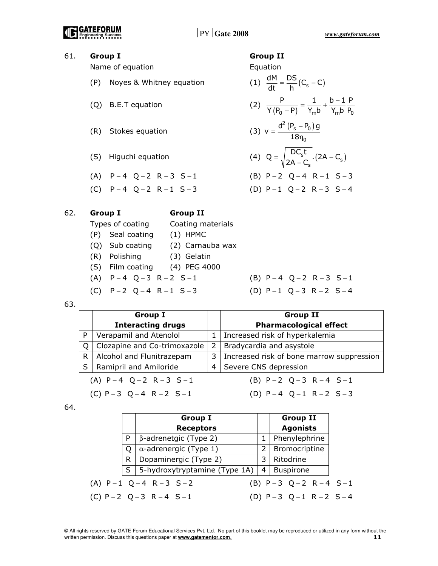### 61. Group I Group II Name of equation example and the equation equation (P) Noyes & Whitney equation  $\frac{dM}{dt} = \frac{DS}{h}(C_s - C)$  $=\frac{155}{15}(C_5 -$ (Q) B.E.T equation (2)  $\frac{P}{Y(P_0 - P)} = \frac{1}{Y_m b} + \frac{b - 1}{Y_m b} \frac{P}{P_0}$  $Y(P_0 - P)$   $Y_m b$   $Y_m b$   $P_0$  $\frac{1}{-P} = \frac{1}{Y_{m}b} + \frac{b-1}{Y_{m}}$ (R) Stokes equation (3)  $v = \frac{d^2 (P_s - P_0)}{10}$ 0  $v = \frac{d^2 (P_s - P_0) g}{18 \eta_0}$  $=\frac{d^2 (P_s - 18n)}{18n}$ (S) Higuchi equation (4)  $Q = \sqrt{\frac{DC_s C}{2A - C_s}}.(2A - C_s)$  $Q = \sqrt{\frac{DC_s t}{2A - C_s}}$ . (2A – C<sub>s</sub>  $=\sqrt{\frac{2C_{\rm s}c}{2A-C_{\rm s}}}$ . (2A –  $(A)$  P - 4 Q - 2 R - 3 S - 1  $(B)$  P - 2 Q - 4 R - 1 S - 3  $(C)$  P - 4 Q - 2 R - 1 S - 3  $(D)$  P - 1 Q - 2 R - 3 S - 4 62. Group I Group II Types of coating Coating materials (P) Seal coating (1) HPMC (Q) Sub coating (2) Carnauba wax

- (R) Polishing (3) Gelatin
- (S) Film coating (4) PEG 4000
- 
- $(C)$  P 2 Q 4 R 1 S 3  $(D)$  P 1 Q 3 R 2 S 4
- $(A)$  P 4 Q 3 R 2 S 1  $(B)$  P 4 Q 2 R 3 S 1

63.

|                             | <b>Group I</b>                 |   | <b>Group II</b>                           |
|-----------------------------|--------------------------------|---|-------------------------------------------|
|                             | <b>Interacting drugs</b>       |   | <b>Pharmacological effect</b>             |
| P                           | Verapamil and Atenolol         |   | Increased risk of hyperkalemia            |
| O                           | Clozapine and Co-trimoxazole   | 2 | Bradycardia and asystole                  |
| R                           | Alcohol and Flunitrazepam      | 3 | Increased risk of bone marrow suppression |
| S                           | <b>Ramipril and Amiloride</b>  | 4 | Severe CNS depression                     |
| (A) $P-4$ $Q-2$ $R-3$ $S-1$ |                                |   | (B) $P-2$ $Q-3$ $R-4$ $S-1$               |
|                             | (C) $P-3$ Q $-4$ R $-2$ S $-1$ |   | (D) $P-4$ $Q-1$ $R-2$ $S-3$               |

64.

|   | <b>Group I</b>                |   | <b>Group II</b>             |  |
|---|-------------------------------|---|-----------------------------|--|
|   | <b>Receptors</b>              |   | <b>Agonists</b>             |  |
| P | $\beta$ -adrenetgic (Type 2)  |   | Phenylephrine               |  |
| O | $\alpha$ -adrenergic (Type 1) | 2 | Bromocriptine               |  |
| R | Dopaminergic (Type 2)         | 3 | Ritodrine                   |  |
| S | 5-hydroxytryptamine (Type 1A) | 4 | <b>Buspirone</b>            |  |
|   | (A) $P-1$ $Q-4$ $R-3$ $S-2$   |   | (B) $P-3$ $Q-2$ $R-4$ $S-1$ |  |
|   | $(C) P - 2 Q - 3 R - 4 S - 1$ |   | (D) $P-3$ $Q-1$ $R-2$ $S-4$ |  |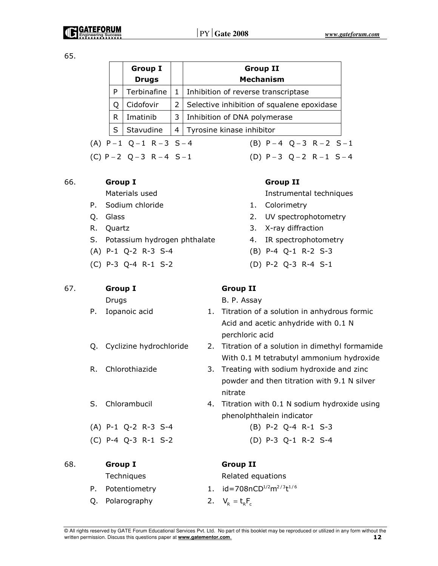65.

|                                                                    |   | <b>Group I</b><br><b>Drugs</b> |                                   | <b>Group II</b><br><b>Mechanism</b>        |  |
|--------------------------------------------------------------------|---|--------------------------------|-----------------------------------|--------------------------------------------|--|
|                                                                    | P | Terbinafine                    | $\mathbf{1}$                      | Inhibition of reverse transcriptase        |  |
|                                                                    |   | Cidofovir                      | 2                                 | Selective inhibition of squalene epoxidase |  |
|                                                                    | R | Imatinib                       | 3<br>Inhibition of DNA polymerase |                                            |  |
|                                                                    | S | Stavudine                      |                                   | 4   Tyrosine kinase inhibitor              |  |
| $(A)$ P-1 Q-1 R-3 S-4<br>(B) $P-4$ $Q-3$ $R-2$ $S-1$               |   |                                |                                   |                                            |  |
| (C) $P - 2$ $Q - 3$ $R - 4$ $S - 1$<br>(D) $P-3$ $Q-2$ $R-1$ $S-4$ |   |                                |                                   |                                            |  |

### 66. Group I Group II

- P. Sodium chloride 1. Colorimetry
- 
- 
- S. Potassium hydrogen phthalate 4. IR spectrophotometry
- (A) P-1 Q-2 R-3 S-4 (B) P-4 Q-1 R-2 S-3
- 

## 67. Group I Group II

- 
- 
- 
- 

(C) P-4 Q-3 R-1 S-2 (D) P-3 Q-1 R-2 S-4

# 68. Group I Group II Techniques Related equations

- 
- Q. Polarography 2.  $V_R = t_R F_c$

Materials used **Instrumental techniques** 

- 
- Q. Glass 2. UV spectrophotometry
- R. Quartz 3. X-ray diffraction
	-
	-
- (C) P-3 Q-4 R-1 S-2 (D) P-2 Q-3 R-4 S-1

Drugs B. P. Assay

- P. Iopanoic acid 1. Titration of a solution in anhydrous formic Acid and acetic anhydride with 0.1 N perchloric acid
- Q. Cyclizine hydrochloride 2. Titration of a solution in dimethyl formamide With 0.1 M tetrabutyl ammonium hydroxide
- R. Chlorothiazide 3. Treating with sodium hydroxide and zinc powder and then titration with 9.1 N silver nitrate
- S. Chlorambucil 4. Titration with 0.1 N sodium hydroxide using phenolphthalein indicator
- (A) P-1 Q-2 R-3 S-4 (B) P-2 Q-4 R-1 S-3
	-

P. Potentiometry 1.  $id = 708nCD^{1/2}m^{2/3}t^{1/6}$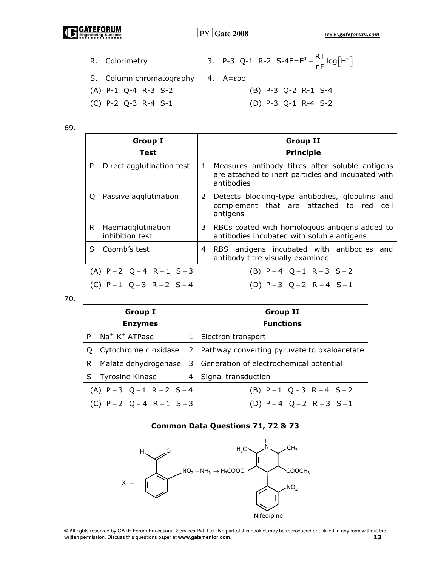| <u>NGAI EFURUM</u><br><b>Engineering Success</b> |                          | $\text{PY}$ Gate 2008                                                     | www.gateforum.com |
|--------------------------------------------------|--------------------------|---------------------------------------------------------------------------|-------------------|
|                                                  |                          |                                                                           |                   |
|                                                  | R. Colorimetry           | 3. P-3 Q-1 R-2 S-4E=E <sup>0</sup> - $\frac{RT}{nF}$ log[H <sup>+</sup> ] |                   |
|                                                  | S. Column chromatography | 4. A=εbc                                                                  |                   |
|                                                  | $(A)$ P-1 Q-4 R-3 S-2    | (B) P-3 Q-2 R-1 S-4                                                       |                   |
|                                                  | $(C)$ P-2 Q-3 R-4 S-1    | $(D)$ P-3 Q-1 R-4 S-2                                                     |                   |

69.

|    | <b>Group I</b><br>Test               |                | <b>Group II</b><br><b>Principle</b>                                                                                 |
|----|--------------------------------------|----------------|---------------------------------------------------------------------------------------------------------------------|
| P  | Direct agglutination test            | 1              | Measures antibody titres after soluble antigens<br>are attached to inert particles and incubated with<br>antibodies |
| Q  | Passive agglutination                | $\overline{2}$ | Detects blocking-type antibodies, globulins and<br>complement that are attached to red cell<br>antigens             |
| R. | Haemagglutination<br>inhibition test | 3              | RBCs coated with homologous antigens added to<br>antibodies incubated with soluble antigens                         |
| S  | Coomb's test                         | 4              | RBS antigens incubated with antibodies and<br>antibody titre visually examined                                      |
|    | (A) $P-2$ $Q-4$ $R-1$ $S-3$          |                | (B) $P-4$ $Q-1$ $R-3$ $S-2$                                                                                         |
|    | (C) $P-1$ $Q-3$ $R-2$ $S-4$          |                | (D) $P-3$ $Q-2$ $R-4$ $S-1$                                                                                         |

70.

|                                     | <b>Group I</b>                                                                                                       |  | <b>Group II</b>                             |
|-------------------------------------|----------------------------------------------------------------------------------------------------------------------|--|---------------------------------------------|
|                                     | <b>Enzymes</b>                                                                                                       |  | <b>Functions</b>                            |
| P                                   | $Na^+$ -K $^+$ ATPase<br>Cytochrome c oxidase<br>Q<br>Malate dehydrogenase<br>R<br>Tyrosine Kinase<br>$\overline{4}$ |  | Electron transport                          |
|                                     |                                                                                                                      |  | Pathway converting pyruvate to oxaloacetate |
|                                     |                                                                                                                      |  | Generation of electrochemical potential     |
| S                                   |                                                                                                                      |  | Signal transduction                         |
| $(A)$ P-3 Q-1 R-2 S-4               |                                                                                                                      |  | (B) $P-1$ Q-3 R-4 S-2                       |
| (C) $P - 2$ $Q - 4$ $R - 1$ $S - 3$ |                                                                                                                      |  | (D) $P-4$ Q-2 R-3 S-1                       |

# Common Data Questions 71, 72 & 73

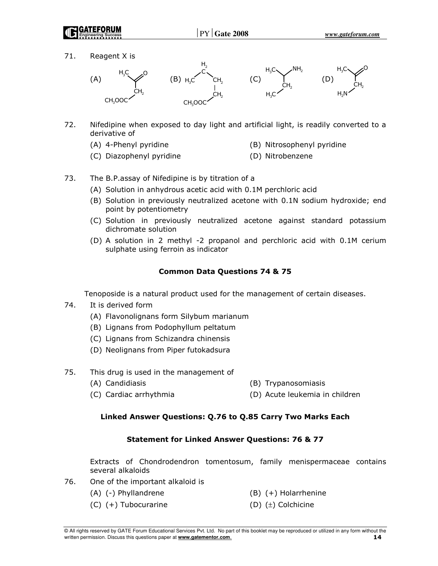

71. Reagent X is



- 72. Nifedipine when exposed to day light and artificial light, is readily converted to a derivative of
	-
	- (A) 4-Phenyl pyridine (B) Nitrosophenyl pyridine
	- (C) Diazophenyl pyridine (D) Nitrobenzene
- 
- 73. The B.P.assay of Nifedipine is by titration of a
	- (A) Solution in anhydrous acetic acid with 0.1M perchloric acid
	- (B) Solution in previously neutralized acetone with 0.1N sodium hydroxide; end point by potentiometry
	- (C) Solution in previously neutralized acetone against standard potassium dichromate solution
	- (D) A solution in 2 methyl -2 propanol and perchloric acid with 0.1M cerium sulphate using ferroin as indicator

### Common Data Questions 74 & 75

Tenoposide is a natural product used for the management of certain diseases.

- 74. It is derived form
	- (A) Flavonolignans form Silybum marianum
	- (B) Lignans from Podophyllum peltatum
	- (C) Lignans from Schizandra chinensis
	- (D) Neolignans from Piper futokadsura
- 75. This drug is used in the management of
	- (A) Candidiasis (B) Trypanosomiasis
	- (C) Cardiac arrhythmia (D) Acute leukemia in children

### Linked Answer Questions: Q.76 to Q.85 Carry Two Marks Each

### Statement for Linked Answer Questions: 76 & 77

Extracts of Chondrodendron tomentosum, family menispermaceae contains several alkaloids

- 76. One of the important alkaloid is
	-
	-
	- (A) (-) Phyllandrene (B) (+) Holarrhenine
	- (C) (+) Tubocurarine (D) (±) Colchicine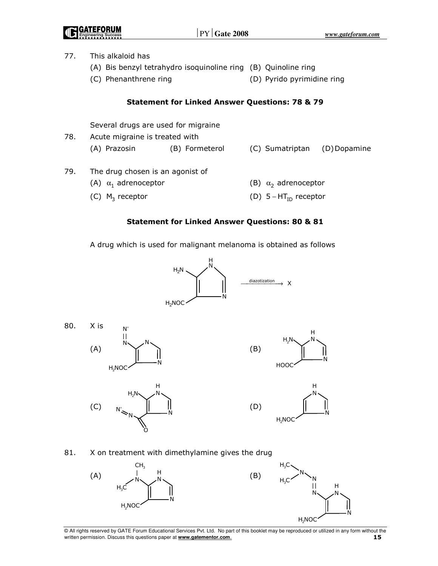| <b>NESS REALLY</b>  |
|---------------------|
|                     |
| Engineering Success |

| 77. | This alkaloid has                                              |                                                           |                             |                              |  |  |  |  |
|-----|----------------------------------------------------------------|-----------------------------------------------------------|-----------------------------|------------------------------|--|--|--|--|
|     | (A) Bis benzyl tetrahydro isoquinoline ring (B) Quinoline ring |                                                           |                             |                              |  |  |  |  |
|     | (C) Phenanthrene ring                                          |                                                           |                             | (D) Pyrido pyrimidine ring   |  |  |  |  |
|     |                                                                | <b>Statement for Linked Answer Questions: 78 &amp; 79</b> |                             |                              |  |  |  |  |
|     | Several drugs are used for migraine                            |                                                           |                             |                              |  |  |  |  |
| 78. | Acute migraine is treated with                                 |                                                           |                             |                              |  |  |  |  |
|     | (A) Prazosin                                                   | (B) Formeterol                                            |                             | (C) Sumatriptan (D) Dopamine |  |  |  |  |
| 79. | The drug chosen is an agonist of                               |                                                           |                             |                              |  |  |  |  |
|     | (A) $\alpha_1$ adrenoceptor                                    |                                                           | (B) $\alpha_2$ adrenoceptor |                              |  |  |  |  |
|     | (C) $M_3$ receptor                                             |                                                           |                             | (D) $5 - HT_{ID}$ receptor   |  |  |  |  |
|     |                                                                |                                                           |                             |                              |  |  |  |  |

### Statement for Linked Answer Questions: 80 & 81

A drug which is used for malignant melanoma is obtained as follows









81. X on treatment with dimethylamine gives the drug



O